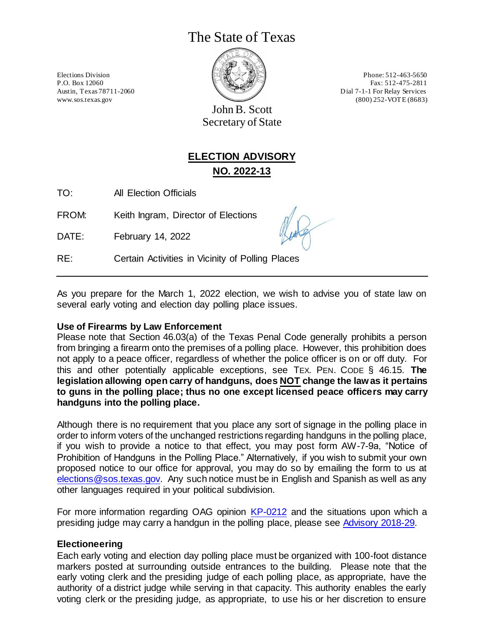# The State of Texas



Elections Division **Phone:** 512-463-5650 P.O. Box 12060 Fax: 512-475-2811 Austin, Texas 78711-2060 Dial 7-1-1 For Relay Services www.sos.texas.gov (800) 252-VOTE (8683)

John B. Scott Secretary of State

# **ELECTION ADVISORY NO. 2022-13**

TO: All Election Officials

FROM: Keith Ingram, Director of Elections

DATE: February 14, 2022

RE: Certain Activities in Vicinity of Polling Places

As you prepare for the March 1, 2022 election, we wish to advise you of state law on several early voting and election day polling place issues.

#### **Use of Firearms by Law Enforcement**

Please note that Section 46.03(a) of the Texas Penal Code generally prohibits a person from bringing a firearm onto the premises of a polling place. However, this prohibition does not apply to a peace officer, regardless of whether the police officer is on or off duty. For this and other potentially applicable exceptions, see TEX. PEN. CODE § 46.15. **The legislation allowing open carry of handguns, does NOT change the law as it pertains to guns in the polling place; thus no one except licensed peace officers may carry handguns into the polling place.**

Although there is no requirement that you place any sort of signage in the polling place in order to inform voters of the unchanged restrictions regarding handguns in the polling place, if you wish to provide a notice to that effect, you may post form AW-7-9a, "Notice of Prohibition of Handguns in the Polling Place." Alternatively, if you wish to submit your own proposed notice to our office for approval, you may do so by emailing the form to us at [elections@sos.texas.gov.](mailto:elections@sos.texas.gov) Any such notice must be in English and Spanish as well as any other languages required in your political subdivision.

For more information regarding OAG opinion [KP-0212](https://www2.texasattorneygeneral.gov/opinions/opinions/51paxton/op/2018/kp0212.pdf) and the situations upon which a presiding judge may carry a handgun in the polling place, please see [Advisory 2018-29.](https://www.sos.texas.gov/elections/laws/advisory2018-29.shtml)

# **Electioneering**

Each early voting and election day polling place must be organized with 100-foot distance markers posted at surrounding outside entrances to the building. Please note that the early voting clerk and the presiding judge of each polling place, as appropriate, have the authority of a district judge while serving in that capacity. This authority enables the early voting clerk or the presiding judge, as appropriate, to use his or her discretion to ensure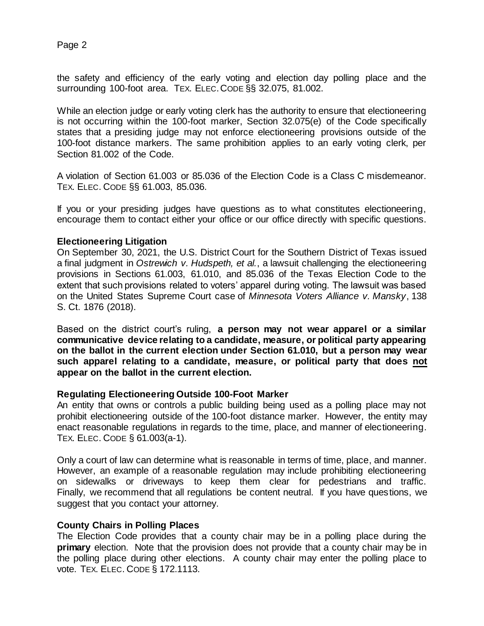the safety and efficiency of the early voting and election day polling place and the surrounding 100-foot area. TEX. ELEC.CODE §§ 32.075, 81.002.

While an election judge or early voting clerk has the authority to ensure that electioneering is not occurring within the 100-foot marker, Section 32.075(e) of the Code specifically states that a presiding judge may not enforce electioneering provisions outside of the 100-foot distance markers. The same prohibition applies to an early voting clerk, per Section 81.002 of the Code.

A violation of Section 61.003 or 85.036 of the Election Code is a Class C misdemeanor. TEX. ELEC. CODE §§ 61.003, 85.036.

If you or your presiding judges have questions as to what constitutes electioneering, encourage them to contact either your office or our office directly with specific questions.

## **Electioneering Litigation**

On September 30, 2021, the U.S. District Court for the Southern District of Texas issued a final judgment in *Ostrewich v. Hudspeth, et al.*, a lawsuit challenging the electioneering provisions in Sections 61.003, 61.010, and 85.036 of the Texas Election Code to the extent that such provisions related to voters' apparel during voting. The lawsuit was based on the United States Supreme Court case of *Minnesota Voters Alliance v. Mansky*, 138 S. Ct. 1876 (2018).

Based on the district court's ruling, **a person may not wear apparel or a similar communicative device relating to a candidate, measure, or political party appearing on the ballot in the current election under Section 61.010, but a person may wear such apparel relating to a candidate, measure, or political party that does not appear on the ballot in the current election.**

#### **Regulating Electioneering Outside 100-Foot Marker**

An entity that owns or controls a public building being used as a polling place may not prohibit electioneering outside of the 100-foot distance marker. However, the entity may enact reasonable regulations in regards to the time, place, and manner of electioneering. TEX. ELEC. CODE § 61.003(a-1).

Only a court of law can determine what is reasonable in terms of time, place, and manner. However, an example of a reasonable regulation may include prohibiting electioneering on sidewalks or driveways to keep them clear for pedestrians and traffic. Finally, we recommend that all regulations be content neutral. If you have questions, we suggest that you contact your attorney.

#### **County Chairs in Polling Places**

The Election Code provides that a county chair may be in a polling place during the **primary** election. Note that the provision does not provide that a county chair may be in the polling place during other elections. A county chair may enter the polling place to vote. TEX. ELEC. CODE § 172.1113.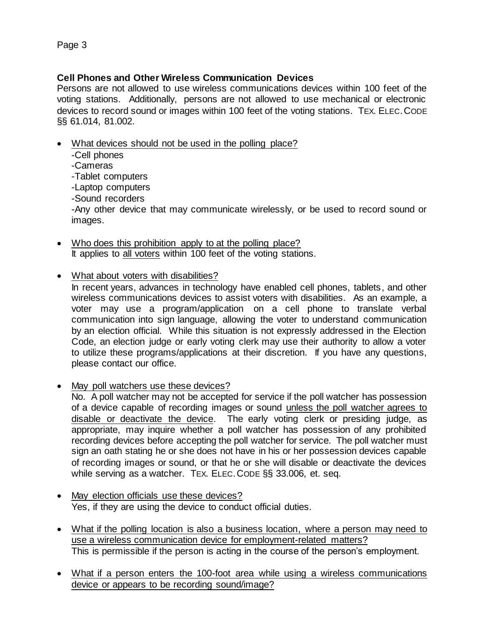# **Cell Phones and Other Wireless Communication Devices**

Persons are not allowed to use wireless communications devices within 100 feet of the voting stations. Additionally, persons are not allowed to use mechanical or electronic devices to record sound or images within 100 feet of the voting stations. TEX. ELEC.CODE §§ 61.014, 81.002.

• What devices should not be used in the polling place?

-Cell phones -Cameras -Tablet computers -Laptop computers -Sound recorders -Any other device that may communicate wirelessly, or be used to record sound or images.

- Who does this prohibition apply to at the polling place? It applies to all voters within 100 feet of the voting stations.
- What about voters with disabilities?

In recent years, advances in technology have enabled cell phones, tablets, and other wireless communications devices to assist voters with disabilities. As an example, a voter may use a program/application on a cell phone to translate verbal communication into sign language, allowing the voter to understand communication by an election official. While this situation is not expressly addressed in the Election Code, an election judge or early voting clerk may use their authority to allow a voter to utilize these programs/applications at their discretion. If you have any questions, please contact our office.

• May poll watchers use these devices?

No. A poll watcher may not be accepted for service if the poll watcher has possession of a device capable of recording images or sound unless the poll watcher agrees to disable or deactivate the device. The early voting clerk or presiding judge, as appropriate, may inquire whether a poll watcher has possession of any prohibited recording devices before accepting the poll watcher for service. The poll watcher must sign an oath stating he or she does not have in his or her possession devices capable of recording images or sound, or that he or she will disable or deactivate the devices while serving as a watcher. TEX. ELEC.CODE §§ 33.006, et. seq.

- May election officials use these devices? Yes, if they are using the device to conduct official duties.
- What if the polling location is also a business location, where a person may need to use a wireless communication device for employment-related matters? This is permissible if the person is acting in the course of the person's employment.
- What if a person enters the 100-foot area while using a wireless communications device or appears to be recording sound/image?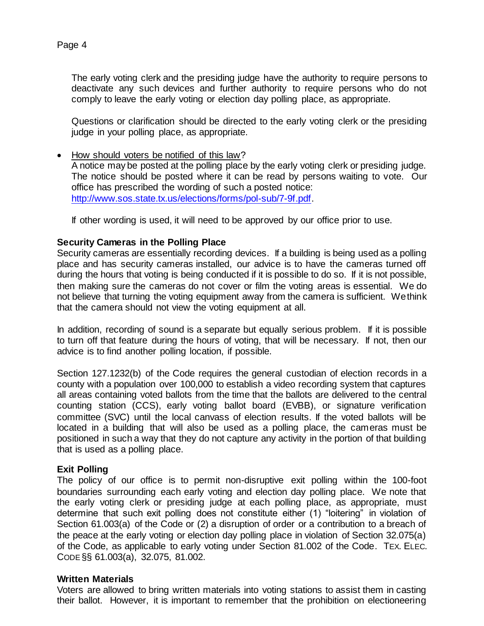The early voting clerk and the presiding judge have the authority to require persons to deactivate any such devices and further authority to require persons who do not

Questions or clarification should be directed to the early voting clerk or the presiding judge in your polling place, as appropriate.

comply to leave the early voting or election day polling place, as appropriate.

• How should voters be notified of this law? A notice may be posted at the polling place by the early voting clerk or presiding judge. The notice should be posted where it can be read by persons waiting to vote. Our office has prescribed the wording of such a posted notice: [http://www.sos.state.tx.us/elections/forms/pol-sub/7-9f.pdf.](http://www.sos.state.tx.us/elections/forms/pol-sub/7-9f.pdf)

If other wording is used, it will need to be approved by our office prior to use.

# **Security Cameras in the Polling Place**

Security cameras are essentially recording devices. If a building is being used as a polling place and has security cameras installed, our advice is to have the cameras turned off during the hours that voting is being conducted if it is possible to do so. If it is not possible, then making sure the cameras do not cover or film the voting areas is essential. We do not believe that turning the voting equipment away from the camera is sufficient. We think that the camera should not view the voting equipment at all.

In addition, recording of sound is a separate but equally serious problem. If it is possible to turn off that feature during the hours of voting, that will be necessary. If not, then our advice is to find another polling location, if possible.

Section 127.1232(b) of the Code requires the general custodian of election records in a county with a population over 100,000 to establish a video recording system that captures all areas containing voted ballots from the time that the ballots are delivered to the central counting station (CCS), early voting ballot board (EVBB), or signature verification committee (SVC) until the local canvass of election results. If the voted ballots will be located in a building that will also be used as a polling place, the cameras must be positioned in such a way that they do not capture any activity in the portion of that building that is used as a polling place.

# **Exit Polling**

The policy of our office is to permit non-disruptive exit polling within the 100-foot boundaries surrounding each early voting and election day polling place. We note that the early voting clerk or presiding judge at each polling place, as appropriate, must determine that such exit polling does not constitute either (1) "loitering" in violation of Section 61.003(a) of the Code or (2) a disruption of order or a contribution to a breach of the peace at the early voting or election day polling place in violation of Section 32.075(a) of the Code, as applicable to early voting under Section 81.002 of the Code. TEX. ELEC. CODE §§ 61.003(a), 32.075, 81.002.

# **Written Materials**

Voters are allowed to bring written materials into voting stations to assist them in casting their ballot. However, it is important to remember that the prohibition on electioneering